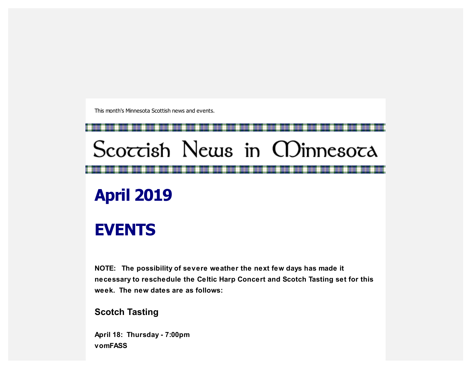This month's Minnesota Scottish news and events.

# Scoccish News in CDinnesoca

## **April 2019**

## **EVENTS**

**NOTE: The possibility of severe weather the next few days has made it necessary to reschedule the Celtic Harp Concert and Scotch Tasting set for this week. The new dates are as follows:**

#### **Scotch Tasting**

**April 18: Thursday - 7:00pm vomFASS**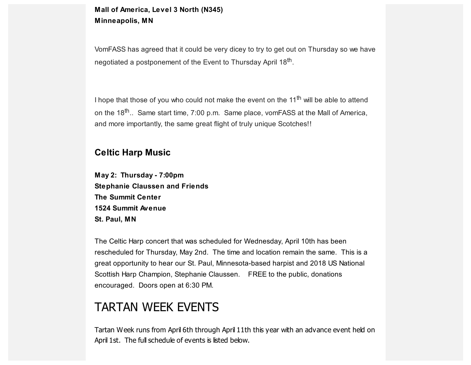#### **Mall of America, Level 3 North (N345) Minneapolis, MN**

VomFASS has agreed that it could be very dicey to try to get out on Thursday so we have negotiated a postponement of the Event to Thursday April 18<sup>th</sup>.

I hope that those of you who could not make the event on the 11<sup>th</sup> will be able to attend on the 18<sup>th</sup>.. Same start time, 7:00 p.m. Same place, vomFASS at the Mall of America, and more importantly, the same great flight of truly unique Scotches!!

#### **Celtic Harp Music**

**May 2: Thursday - 7:00pm Stephanie Claussen and Friends The Summit Center 1524 Summit Avenue St. Paul, MN**

The Celtic Harp concert that was scheduled for Wednesday, April 10th has been rescheduled for Thursday, May 2nd. The time and location remain the same. This is a great opportunity to hear our St. Paul, Minnesota-based harpist and 2018 US National Scottish Harp Champion, Stephanie Claussen. FREE to the public, donations encouraged. Doors open at 6:30 PM.

### TARTAN WEEK EVENTS

Tartan Week runs from April 6th through April 11th this year with an advance event held on April 1st. The full schedule of events is listed below.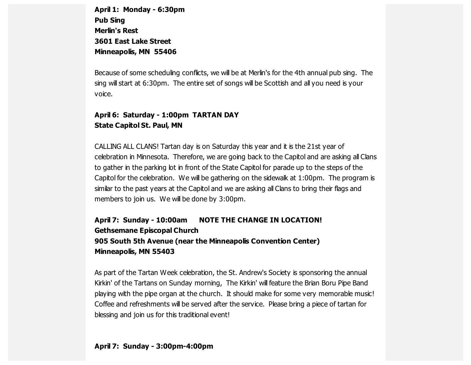**April 1: Monday - 6:30pm Pub Sing Merlin's Rest 3601 East Lake Street Minneapolis, MN 55406**

Because of some scheduling conflicts, we will be at Merlin's for the 4th annual pub sing. The sing will start at 6:30pm. The entire set of songs will be Scottish and all you need is your voice.

#### **April 6: Saturday - 1:00pm TARTAN DAY State Capitol St. Paul, MN**

CALLING ALL CLANS! Tartan day is on Saturday this year and it is the 21st year of celebration in Minnesota. Therefore, we are going back to the Capitol and are asking all Clans to gather in the parking lot in front of the State Capitol for parade up to the steps of the Capitol for the celebration. We will be gathering on the sidewalk at 1:00pm. The program is similar to the past years at the Capitol and we are asking all Clans to bring their flags and members to join us. We will be done by 3:00pm.

#### **April 7: Sunday - 10:00am NOTE THE CHANGE IN LOCATION! Gethsemane Episcopal Church 905 South 5th Avenue (near the Minneapolis Convention Center) Minneapolis, MN 55403**

As part of the Tartan Week celebration, the St. Andrew's Society is sponsoring the annual Kirkin' of the Tartans on Sunday morning, The Kirkin' will feature the Brian Boru Pipe Band playing with the pipe organ at the church. It should make for some very memorable music! Coffee and refreshments will be served after the service. Please bring a piece of tartan for blessing and join us for this traditional event!

#### **April 7: Sunday - 3:00pm-4:00pm**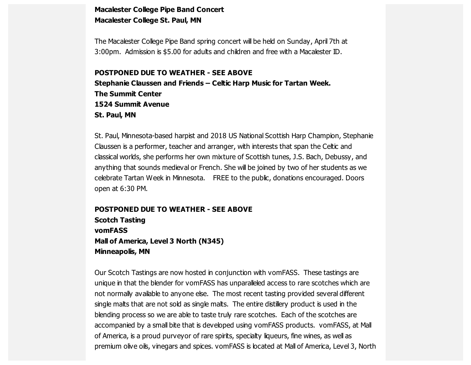#### **Macalester College Pipe Band Concert Macalester College St. Paul, MN**

The Macalester College Pipe Band spring concert will be held on Sunday, April 7th at 3:00pm. Admission is \$5.00 for adults and children and free with a Macalester ID.

#### **POSTPONED DUE TO WEATHER - SEE ABOVE**

**Stephanie Claussen and Friends – Celtic Harp Music for Tartan Week. The Summit Center 1524 Summit Avenue St. Paul, MN**

St. Paul, Minnesota-based harpist and 2018 US National Scottish Harp Champion, Stephanie Claussen is a performer, teacher and arranger, with interests that span the Celtic and classical worlds, she performs her own mixture of Scottish tunes, J.S. Bach, Debussy, and anything that sounds medieval or French. She will be joined by two of her students as we celebrate Tartan Week in Minnesota. FREE to the public, donations encouraged. Doors open at 6:30 PM.

#### **POSTPONED DUE TO WEATHER - SEE ABOVE Scotch Tasting vomFASS Mall of America, Level 3 North (N345) Minneapolis, MN**

Our Scotch Tastings are now hosted in conjunction with vomFASS. These tastings are unique in that the blender for vomFASS has unparalleled access to rare scotches which are not normally available to anyone else. The most recent tasting provided several different single malts that are not sold as single malts. The entire distillery product is used in the blending process so we are able to taste truly rare scotches. Each of the scotches are accompanied by a small bite that is developed using vomFASS products. vomFASS, at Mall of America, is a proud purveyor of rare spirits, specialty liqueurs, fine wines, as well as premium olive oils, vinegars and spices. vomFASS is located at Mall of America, Level 3, North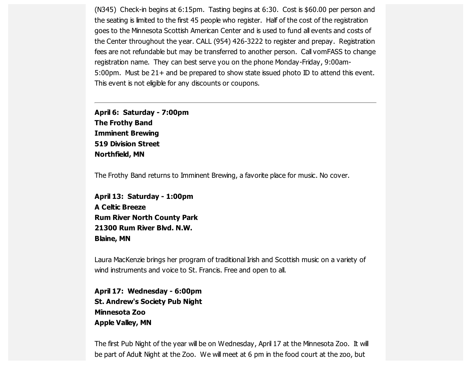(N345) Check-in begins at 6:15pm. Tasting begins at 6:30. Cost is \$60.00 per person and the seating is limited to the first 45 people who register. Half of the cost of the registration goes to the Minnesota Scottish American Center and is used to fund all events and costs of the Center throughout the year. CALL (954) 426-3222 to register and prepay. Registration fees are not refundable but may be transferred to another person. Call vom FASS to change registration name. They can best serve you on the phone Monday-Friday, 9:00am-5:00pm. Must be 21+ and be prepared to show state issued photo ID to attend this event. This event is not eligible for any discounts or coupons.

**April 6: Saturday - 7:00pm The Frothy Band Imminent Brewing 519 Division Street Northfield, MN**

The Frothy Band returns to Imminent Brewing, a favorite place for music. No cover.

**April 13: Saturday - 1:00pm A Celtic Breeze Rum River North County Park 21300 Rum River Blvd. N.W. Blaine, MN**

Laura MacKenzie brings her program of traditional Irish and Scottish music on a variety of wind instruments and voice to St. Francis. Free and open to all.

**April 17: Wednesday - 6:00pm St. Andrew's Society Pub Night Minnesota Zoo Apple Valley, MN**

The first Pub Night of the year will be on Wednesday, April 17 at the Minnesota Zoo. It will be part of Adult Night at the Zoo. We will meet at 6 pm in the food court at the zoo, but